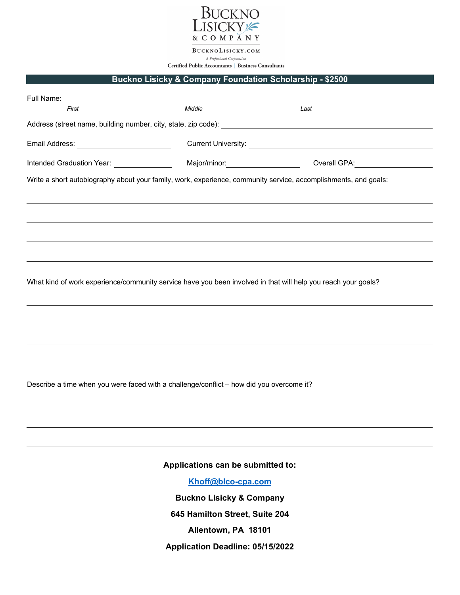

BUCKNOLISICKY.COM A Professional Corporation

Certified Public Accountants | Business Consultants

## **Buckno Lisicky & Company Foundation Scholarship - \$2500**

| Full Name:<br><u> 1989 - Johann Stoff, deutscher Stoffen und der Stoffen und der Stoffen und der Stoffen und der Stoffen und der Stoffen und der Stoffen und der Stoffen und der Stoffen und der Stoffen und der Stoffen und der Stoffen und d</u> |        |                                                                                                                 |
|----------------------------------------------------------------------------------------------------------------------------------------------------------------------------------------------------------------------------------------------------|--------|-----------------------------------------------------------------------------------------------------------------|
| First                                                                                                                                                                                                                                              | Middle | Last                                                                                                            |
|                                                                                                                                                                                                                                                    |        |                                                                                                                 |
| Email Address: ______________________________                                                                                                                                                                                                      |        |                                                                                                                 |
|                                                                                                                                                                                                                                                    |        | Intended Graduation Year: _________________  Major/minor: ___________________  Overall GPA: __________________  |
|                                                                                                                                                                                                                                                    |        | Write a short autobiography about your family, work, experience, community service, accomplishments, and goals: |
|                                                                                                                                                                                                                                                    |        |                                                                                                                 |
|                                                                                                                                                                                                                                                    |        |                                                                                                                 |
|                                                                                                                                                                                                                                                    |        |                                                                                                                 |
|                                                                                                                                                                                                                                                    |        |                                                                                                                 |
|                                                                                                                                                                                                                                                    |        |                                                                                                                 |
|                                                                                                                                                                                                                                                    |        | What kind of work experience/community service have you been involved in that will help you reach your goals?   |
|                                                                                                                                                                                                                                                    |        |                                                                                                                 |
|                                                                                                                                                                                                                                                    |        |                                                                                                                 |
|                                                                                                                                                                                                                                                    |        |                                                                                                                 |
|                                                                                                                                                                                                                                                    |        |                                                                                                                 |
|                                                                                                                                                                                                                                                    |        |                                                                                                                 |
| Describe a time when you were faced with a challenge/conflict - how did you overcome it?                                                                                                                                                           |        |                                                                                                                 |
|                                                                                                                                                                                                                                                    |        |                                                                                                                 |
|                                                                                                                                                                                                                                                    |        |                                                                                                                 |

**Applications can be submitted to:**

**[Khoff@blco-cpa.com](mailto:Khoff@blco-cpa.com)**

**Buckno Lisicky & Company**

**645 Hamilton Street, Suite 204**

**Allentown, PA 18101**

**Application Deadline: 05/15/2022**